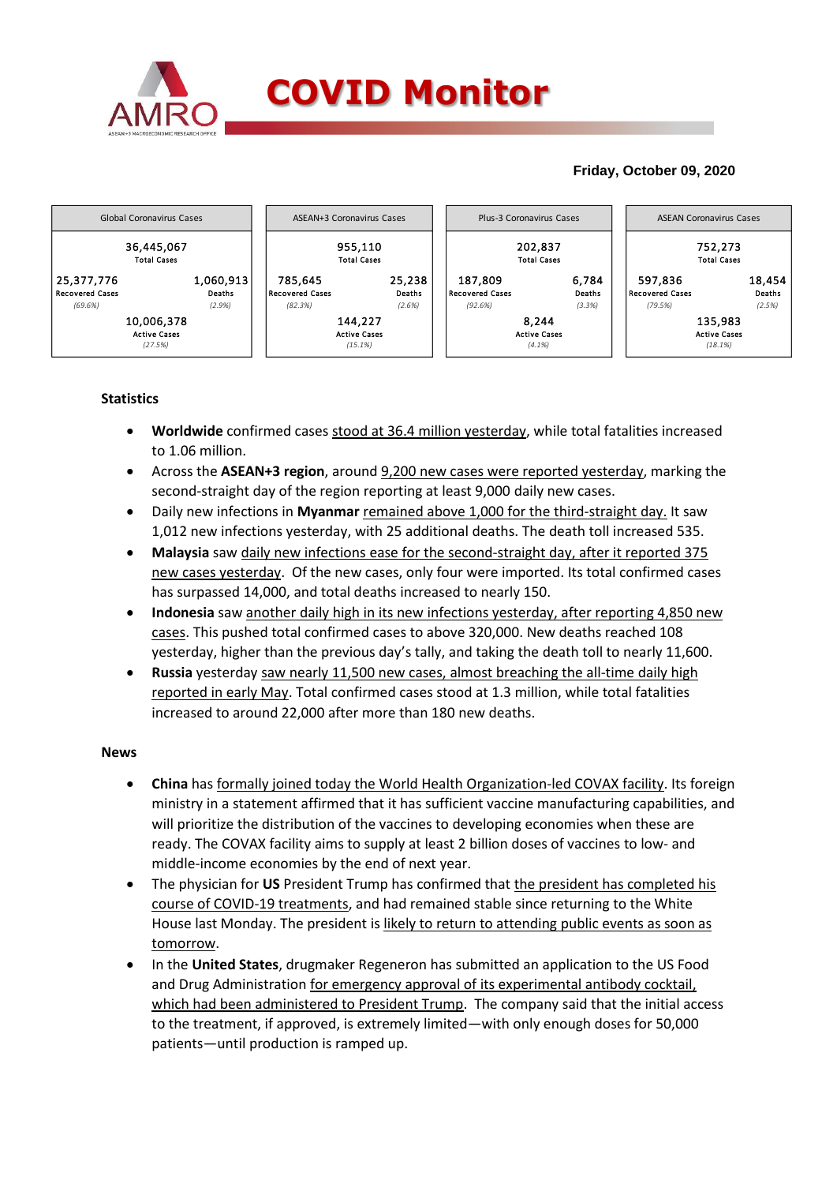

### **Friday, October 09, 2020**



### **Statistics**

- **Worldwide** confirmed cases stood at 36.4 million yesterday, while total fatalities increased to 1.06 million.
- Across the **ASEAN+3 region**, around 9,200 new cases were reported yesterday, marking the second-straight day of the region reporting at least 9,000 daily new cases.
- Daily new infections in **Myanmar** remained above 1,000 for the third-straight day. It saw 1,012 new infections yesterday, with 25 additional deaths. The death toll increased 535.
- **Malaysia** saw daily new infections ease for the second-straight day, after it reported 375 new cases yesterday. Of the new cases, only four were imported. Its total confirmed cases has surpassed 14,000, and total deaths increased to nearly 150.
- **Indonesia** saw another daily high in its new infections yesterday, after reporting 4,850 new cases. This pushed total confirmed cases to above 320,000. New deaths reached 108 yesterday, higher than the previous day's tally, and taking the death toll to nearly 11,600.
- **Russia** yesterday saw nearly 11,500 new cases, almost breaching the all-time daily high reported in early May. Total confirmed cases stood at 1.3 million, while total fatalities increased to around 22,000 after more than 180 new deaths.

### **News**

- **China** has formally joined today the World Health Organization-led COVAX facility. Its foreign ministry in a statement affirmed that it has sufficient vaccine manufacturing capabilities, and will prioritize the distribution of the vaccines to developing economies when these are ready. The COVAX facility aims to supply at least 2 billion doses of vaccines to low- and middle-income economies by the end of next year.
- The physician for **US** President Trump has confirmed that the president has completed his course of COVID-19 treatments, and had remained stable since returning to the White House last Monday. The president is likely to return to attending public events as soon as tomorrow.
- In the **United States**, drugmaker Regeneron has submitted an application to the US Food and Drug Administration for emergency approval of its experimental antibody cocktail, which had been administered to President Trump. The company said that the initial access to the treatment, if approved, is extremely limited—with only enough doses for 50,000 patients—until production is ramped up.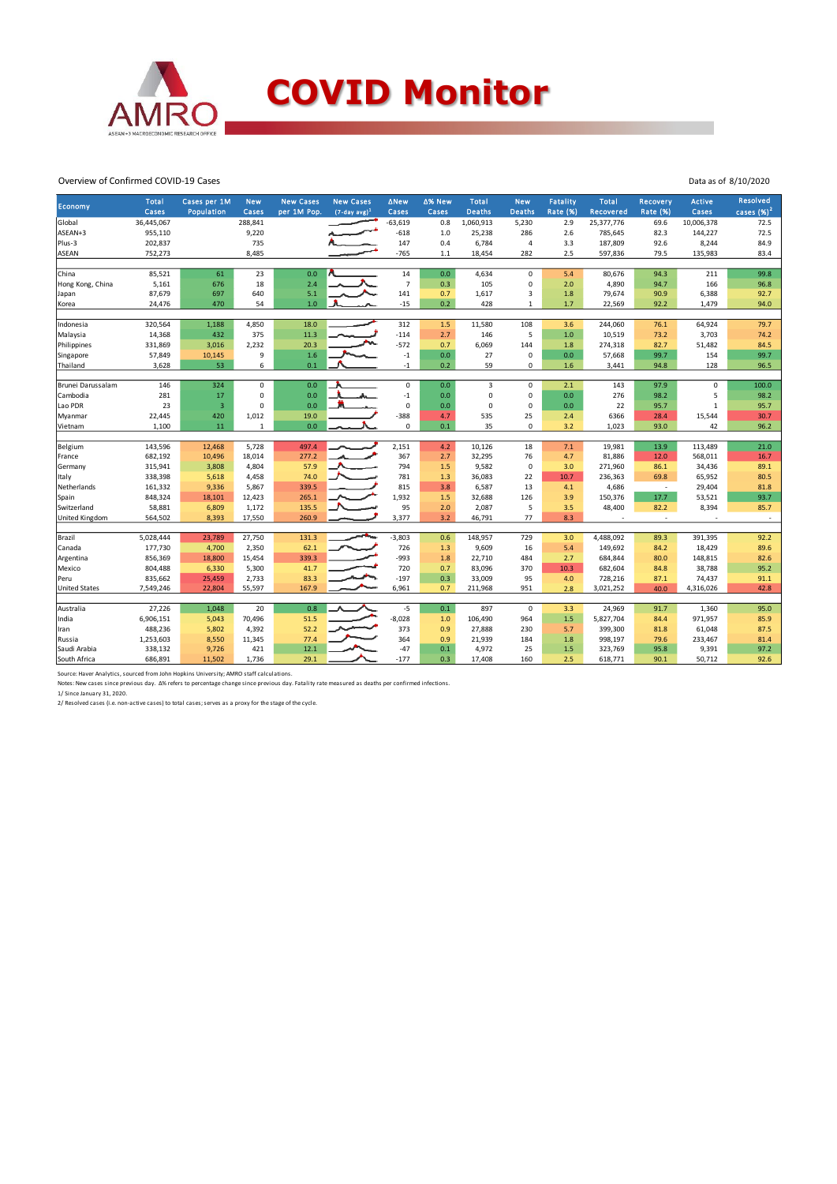

## **COVID Monitor**

Data as of 8/10/2020

#### Overview of Confirmed COVID-19 Cases

|                              | <b>Total</b>       | Cases per 1M     | <b>New</b>     | <b>New Cases</b> | <b>New Cases</b> | <b>ANew</b>    | ∆% New     | <b>Total</b>     | <b>New</b>     | <b>Fatality</b> | <b>Total</b>       | Recovery        | <b>Active</b>    | <b>Resolved</b> |
|------------------------------|--------------------|------------------|----------------|------------------|------------------|----------------|------------|------------------|----------------|-----------------|--------------------|-----------------|------------------|-----------------|
| Economy                      | Cases              | Population       | Cases          | per 1M Pop.      | $(7-day avg)^1$  | Cases          | Cases      | <b>Deaths</b>    | <b>Deaths</b>  | <b>Rate (%)</b> | Recovered          | <b>Rate (%)</b> | Cases            | cases $(%)^2$   |
| Global                       | 36,445,067         |                  | 288,841        |                  |                  | $-63,619$      | 0.8        | 1,060,913        | 5,230          | 2.9             | 25,377,776         | 69.6            | 10,006,378       | 72.5            |
| ASEAN+3                      | 955,110            |                  | 9,220          |                  |                  | $-618$         | $1.0$      | 25,238           | 286            | 2.6             | 785,645            | 82.3            | 144,227          | 72.5            |
| Plus-3                       | 202,837            |                  | 735            |                  |                  | 147            | 0.4        | 6,784            | $\overline{4}$ | 3.3             | 187,809            | 92.6            | 8,244            | 84.9            |
| <b>ASEAN</b>                 | 752,273            |                  | 8,485          |                  |                  | $-765$         | $1.1\,$    | 18,454           | 282            | 2.5             | 597,836            | 79.5            | 135,983          | 83.4            |
|                              |                    |                  |                |                  |                  |                |            |                  |                |                 |                    |                 |                  |                 |
| China                        | 85,521             | 61               | 23             | 0.0              |                  | 14             | 0.0        | 4,634            | $\mathbf 0$    | 5.4             | 80,676             | 94.3            | 211              | 99.8            |
| Hong Kong, China             | 5,161              | 676              | 18             | 2.4              |                  | $\overline{7}$ | 0.3        | 105              | $\mathbf 0$    | 2.0             | 4,890              | 94.7            | 166              | 96.8            |
| Japan                        | 87,679             | 697              | 640            | 5.1              |                  | 141            | 0.7        | 1,617            | 3              | 1.8             | 79,674             | 90.9            | 6,388            | 92.7            |
| Korea                        | 24,476             | 470              | 54             | 1.0              |                  | $-15$          | 0.2        | 428              | $\mathbf{1}$   | 1.7             | 22,569             | 92.2            | 1,479            | 94.0            |
|                              |                    |                  |                |                  |                  |                |            |                  |                |                 |                    |                 |                  |                 |
| Indonesia                    | 320,564            | 1,188            | 4,850          | 18.0             |                  | 312            | 1.5        | 11,580           | 108            | 3.6             | 244,060            | 76.1            | 64,924           | 79.7            |
| Malaysia                     | 14,368             | 432              | 375            | 11.3             |                  | $-114$         | 2.7        | 146              | 5              | 1.0             | 10,519             | 73.2            | 3,703            | 74.2            |
| Philippines                  | 331,869            | 3,016            | 2,232          | 20.3             |                  | $-572$         | 0.7        | 6,069            | 144            | 1.8             | 274,318            | 82.7            | 51,482           | 84.5            |
| Singapore                    | 57,849             | 10,145           | $\mathsf g$    | 1.6              |                  | $-1$           | 0.0        | 27               | 0              | 0.0             | 57,668             | 99.7            | 154              | 99.7            |
| Thailand                     | 3,628              | 53               | 6              | 0.1              |                  | $-1$           | 0.2        | 59               | $\mathbf 0$    | 1.6             | 3,441              | 94.8            | 128              | 96.5            |
| Brunei Darussalam            | 146                | 324              | 0              | 0.0              |                  | $\mathsf 0$    | 0.0        | $\overline{3}$   | $\mathbf 0$    | 2.1             | 143                | 97.9            | $\pmb{0}$        | 100.0           |
| Cambodia                     | 281                | 17               | $\Omega$       | 0.0              |                  | $-1$           | 0.0        | $\mathbf 0$      | 0              | 0.0             | 276                | 98.2            | 5                | 98.2            |
| Lao PDR                      | 23                 | $\overline{3}$   | $\Omega$       | 0.0              |                  | $\mathsf 0$    | 0.0        | $\mathbf 0$      | $\mathbf 0$    | 0.0             | 22                 | 95.7            | $\mathbf{1}$     | 95.7            |
| Myanmar                      | 22,445             | 420              | 1,012          | 19.0             |                  | $-388$         | 4.7        | 535              | 25             | 2.4             | 6366               | 28.4            | 15,544           | 30.7            |
| Vietnam                      | 1,100              | $11\,$           | $\mathbf{1}$   | 0.0              |                  | $\mathsf 0$    | 0.1        | 35               | $\mathbf 0$    | 3.2             | 1,023              | 93.0            | 42               | 96.2            |
|                              |                    |                  |                |                  |                  |                |            |                  |                |                 |                    |                 |                  |                 |
| Belgium                      | 143,596            | 12,468           | 5,728          | 497.4            |                  | 2,151          | 4.2        | 10,126           | 18             | 7.1             | 19,981             | 13.9            | 113,489          | 21.0            |
| France                       | 682,192            | 10,496           | 18,014         | 277.2            |                  | 367            | 2.7        | 32,295           | 76             | 4.7             | 81,886             | 12.0            | 568,011          | 16.7            |
| Germany                      | 315,941            | 3,808            | 4,804          | 57.9             |                  | 794            | 1.5        | 9,582            | $\mathbf 0$    | 3.0             | 271,960            | 86.1            | 34,436           | 89.1            |
| Italy                        | 338,398            | 5,618            | 4,458          | 74.0             |                  | 781            | 1.3        | 36,083           | 22             | 10.7            | 236,363            | 69.8            | 65,952           | 80.5            |
| Netherlands                  | 161,332            | 9,336            | 5,867          | 339.5            |                  | 815            | 3.8        | 6,587            | 13             | 4.1             | 4,686              | $\sim$          | 29,404           | 81.8            |
| Spain                        | 848,324            | 18,101           | 12,423         | 265.1            |                  | 1,932          | $1.5$      | 32,688           | 126            | 3.9             | 150,376            | 17.7            | 53,521           | 93.7            |
| Switzerland                  | 58,881             | 6,809            | 1,172          | 135.5            |                  | 95             | 2.0        | 2,087            | 5              | 3.5             | 48,400             | 82.2            | 8,394            | 85.7            |
| United Kingdom               | 564,502            | 8,393            | 17,550         | 260.9            |                  | 3,377          | 3.2        | 46,791           | 77             | 8.3             |                    | $\sim$          |                  | $\sim$          |
|                              |                    |                  |                |                  |                  |                |            |                  |                |                 |                    |                 |                  |                 |
| Brazil                       | 5,028,444          | 23,789           | 27,750         | 131.3            |                  | $-3,803$       | 0.6        | 148,957          | 729            | 3.0             | 4,488,092          | 89.3            | 391,395          | 92.2            |
| Canada                       | 177,730            | 4,700            | 2,350          | 62.1<br>339.3    |                  | 726<br>$-993$  | 1.3        | 9,609            | 16             | 5.4<br>2.7      | 149,692            | 84.2            | 18,429           | 89.6            |
| Argentina                    | 856,369            | 18,800           | 15,454         |                  |                  |                | 1.8<br>0.7 | 22,710<br>83,096 | 484<br>370     | 10.3            | 684,844            | 80.0<br>84.8    | 148,815          | 82.6            |
| Mexico                       | 804,488<br>835,662 | 6,330            | 5,300<br>2,733 | 41.7<br>83.3     |                  | 720<br>$-197$  | 0.3        | 33,009           | 95             |                 | 682,604<br>728,216 |                 | 38,788<br>74,437 | 95.2<br>91.1    |
| Peru<br><b>United States</b> | 7,549,246          | 25,459<br>22,804 | 55,597         | 167.9            |                  | 6,961          | 0.7        | 211,968          | 951            | 4.0<br>2.8      | 3,021,252          | 87.1<br>40.0    | 4,316,026        | 42.8            |
|                              |                    |                  |                |                  |                  |                |            |                  |                |                 |                    |                 |                  |                 |
| Australia                    | 27,226             | 1,048            | 20             | 0.8              |                  | $-5$           | 0.1        | 897              | 0              | 3.3             | 24,969             | 91.7            | 1,360            | 95.0            |
| India                        | 6,906,151          | 5,043            | 70,496         | 51.5             |                  | $-8,028$       | 1.0        | 106,490          | 964            | 1.5             | 5,827,704          | 84.4            | 971,957          | 85.9            |
| Iran                         | 488,236            | 5,802            | 4,392          | 52.2             |                  | 373            | 0.9        | 27,888           | 230            | 5.7             | 399,300            | 81.8            | 61,048           | 87.5            |
| Russia                       | 1,253,603          | 8,550            | 11,345         | 77.4             |                  | 364            | 0.9        | 21,939           | 184            | 1.8             | 998,197            | 79.6            | 233,467          | 81.4            |
| Saudi Arabia                 | 338,132            | 9,726            | 421            | 12.1             |                  | $-47$          | 0.1        | 4,972            | 25             | 1.5             | 323,769            | 95.8            | 9,391            | 97.2            |
| South Africa                 | 686,891            | 11,502           | 1,736          | 29.1             |                  | $-177$         | 0.3        | 17,408           | 160            | 2.5             | 618,771            | 90.1            | 50,712           | 92.6            |
|                              |                    |                  |                |                  |                  |                |            |                  |                |                 |                    |                 |                  |                 |

Source: Haver Analytics, sourced from John Hopkins University; AMRO staff calculations.<br>Notes: New cases since previous day. Δ% refers to percentage change since previous day. Fatality rate measured as deaths per confirmed

1/ Since January 31, 2020. 2/ Resolved cases (i.e. non-active cases) to total cases; serves as a proxy for the stage of the cycle.